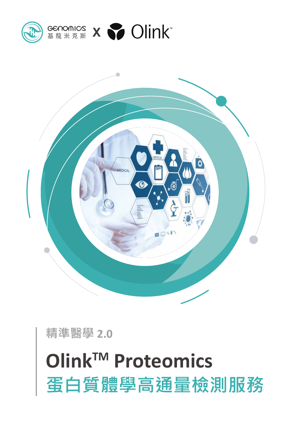# **OlinkTM Proteomics 蛋白質體學高通量檢測服務**

**精準醫學 2.0**



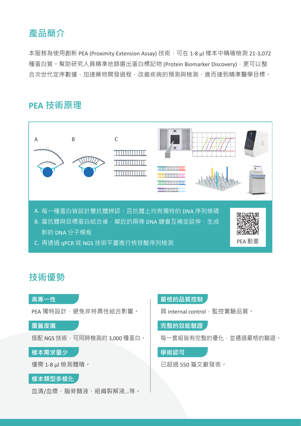## **產品簡介**

本服務為使用創新 PEA (Proximity Extension Assay) 技術, 可在 1-8 μl 樣本中精確檢測 21-3,072 種蛋白質。幫助研究人員精準地篩選出蛋白標記物 (Protein Biomarker Discovery), 更可以整 合次世代定序數據,加速藥物開發過程、改善疾病的預測與檢測,進而達到精準醫學目標。

# **PEA 技術原理**



# **技術優勢**



## **嚴格的品質控制**

具 internal control, 監控實驗品質。

**完整的效能驗證**

每一套組皆有完整的優化,並通過嚴格的驗證。

**學術認可**

已超過 550 篇文獻發表。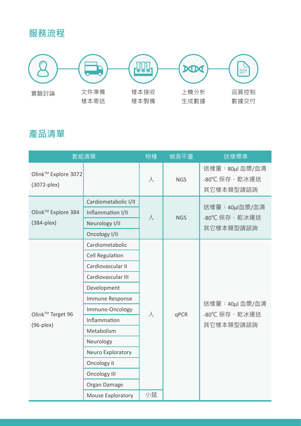# **服務流程**



# **產品清單**

| 套組清單                                            |                        | 物種        | 偵測平臺       | 送樣標準                                         |
|-------------------------------------------------|------------------------|-----------|------------|----------------------------------------------|
| Olink™ Explore 3072<br>(3072-plex)              |                        | 人         | <b>NGS</b> | 送樣量: 80µl 血漿/血清<br>-80℃ 保存、乾冰運送<br>其它樣本類型請諮詢 |
| Olink™ Explore 384<br>$(384$ -plex $)$          | Cardiometabolic I/II   | $\lambda$ | <b>NGS</b> | 送樣量:40µl血漿/血清<br>-80℃ 保存、乾冰運送<br>其它樣本類型請諮詢   |
|                                                 | Inflammation I/II      |           |            |                                              |
|                                                 | Neurology I/II         |           |            |                                              |
|                                                 | Oncology I/II          |           |            |                                              |
| Olink <sup>™</sup> Target 96<br>$(96$ -plex $)$ | Cardiometabolic        | 人         | qPCR       | 送樣量:40µl 血漿/血清<br>-80℃ 保存、乾冰運送<br>其它樣本類型請諮詢  |
|                                                 | <b>Cell Regulation</b> |           |            |                                              |
|                                                 | Cardiovascular II      |           |            |                                              |
|                                                 | Cardiovascular III     |           |            |                                              |
|                                                 | Development            |           |            |                                              |
|                                                 | Immune Response        |           |            |                                              |
|                                                 | Immuno-Oncology        |           |            |                                              |
|                                                 | Inflammation           |           |            |                                              |
|                                                 | Metabolism             |           |            |                                              |
|                                                 | Neurology              |           |            |                                              |
|                                                 | Neuro Exploratory      |           |            |                                              |
|                                                 | <b>Oncology II</b>     |           |            |                                              |
|                                                 | <b>Oncology III</b>    |           |            |                                              |
|                                                 | Organ Damage           |           |            |                                              |
|                                                 | Mouse Exploratory      | 小鼠        |            |                                              |